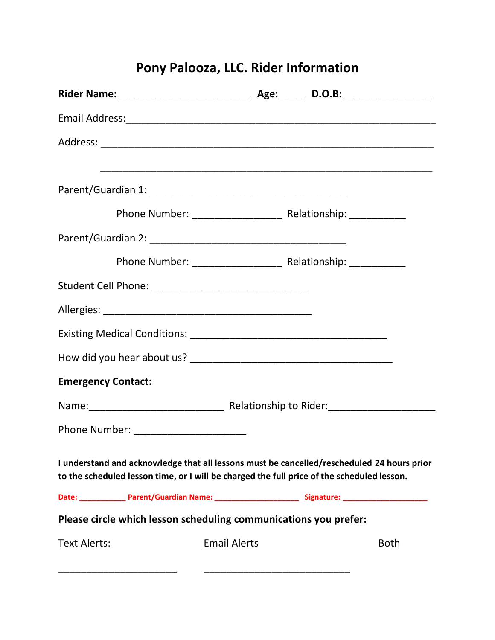# **Pony Palooza, LLC. Rider Information**

| <b>Emergency Contact:</b>              |                                                                                                                                                                                          |  |             |
|----------------------------------------|------------------------------------------------------------------------------------------------------------------------------------------------------------------------------------------|--|-------------|
|                                        |                                                                                                                                                                                          |  |             |
| Phone Number: ________________________ |                                                                                                                                                                                          |  |             |
|                                        | I understand and acknowledge that all lessons must be cancelled/rescheduled 24 hours prior<br>to the scheduled lesson time, or I will be charged the full price of the scheduled lesson. |  |             |
|                                        | Date: ________________Parent/Guardian Name: ___________________________Signature: ____________________________                                                                           |  |             |
|                                        | Please circle which lesson scheduling communications you prefer:                                                                                                                         |  |             |
| <b>Text Alerts:</b>                    | <b>Email Alerts</b>                                                                                                                                                                      |  | <b>Both</b> |
|                                        |                                                                                                                                                                                          |  |             |